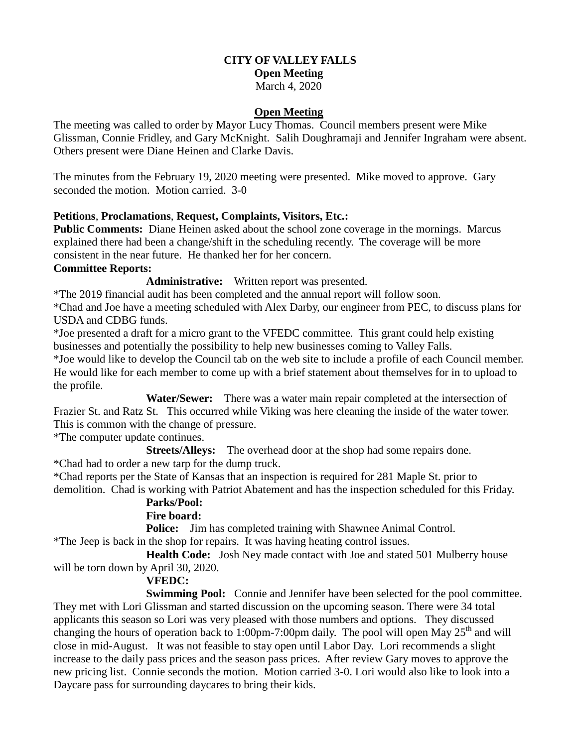# **CITY OF VALLEY FALLS Open Meeting**

March 4, 2020

#### **Open Meeting**

The meeting was called to order by Mayor Lucy Thomas. Council members present were Mike Glissman, Connie Fridley, and Gary McKnight. Salih Doughramaji and Jennifer Ingraham were absent. Others present were Diane Heinen and Clarke Davis.

The minutes from the February 19, 2020 meeting were presented. Mike moved to approve. Gary seconded the motion. Motion carried. 3-0

#### **Petitions**, **Proclamations**, **Request, Complaints, Visitors, Etc.:**

**Public Comments:** Diane Heinen asked about the school zone coverage in the mornings. Marcus explained there had been a change/shift in the scheduling recently. The coverage will be more consistent in the near future. He thanked her for her concern.

#### **Committee Reports:**

**Administrative:** Written report was presented.

\*The 2019 financial audit has been completed and the annual report will follow soon.

\*Chad and Joe have a meeting scheduled with Alex Darby, our engineer from PEC, to discuss plans for USDA and CDBG funds.

\*Joe presented a draft for a micro grant to the VFEDC committee. This grant could help existing businesses and potentially the possibility to help new businesses coming to Valley Falls.

\*Joe would like to develop the Council tab on the web site to include a profile of each Council member. He would like for each member to come up with a brief statement about themselves for in to upload to the profile.

 **Water/Sewer:** There was a water main repair completed at the intersection of Frazier St. and Ratz St. This occurred while Viking was here cleaning the inside of the water tower. This is common with the change of pressure.

\*The computer update continues.

**Streets/Alleys:** The overhead door at the shop had some repairs done. \*Chad had to order a new tarp for the dump truck.

\*Chad reports per the State of Kansas that an inspection is required for 281 Maple St. prior to demolition. Chad is working with Patriot Abatement and has the inspection scheduled for this Friday.

## **Parks/Pool:**

## **Fire board:**

**Police:** Jim has completed training with Shawnee Animal Control.

\*The Jeep is back in the shop for repairs. It was having heating control issues.

**Health Code:** Josh Ney made contact with Joe and stated 501 Mulberry house will be torn down by April 30, 2020.

## **VFEDC:**

**Swimming Pool:** Connie and Jennifer have been selected for the pool committee. They met with Lori Glissman and started discussion on the upcoming season. There were 34 total applicants this season so Lori was very pleased with those numbers and options. They discussed changing the hours of operation back to 1:00pm-7:00pm daily. The pool will open May  $25<sup>th</sup>$  and will close in mid-August. It was not feasible to stay open until Labor Day. Lori recommends a slight increase to the daily pass prices and the season pass prices. After review Gary moves to approve the new pricing list. Connie seconds the motion. Motion carried 3-0. Lori would also like to look into a Daycare pass for surrounding daycares to bring their kids.